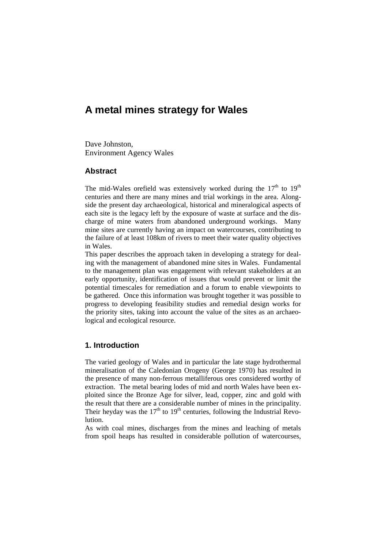# **A metal mines strategy for Wales**

Dave Johnston, Environment Agency Wales

### **Abstract**

The mid-Wales orefield was extensively worked during the  $17<sup>th</sup>$  to  $19<sup>th</sup>$ centuries and there are many mines and trial workings in the area. Alongside the present day archaeological, historical and mineralogical aspects of each site is the legacy left by the exposure of waste at surface and the discharge of mine waters from abandoned underground workings. Many mine sites are currently having an impact on watercourses, contributing to the failure of at least 108km of rivers to meet their water quality objectives in Wales.

This paper describes the approach taken in developing a strategy for dealing with the management of abandoned mine sites in Wales. Fundamental to the management plan was engagement with relevant stakeholders at an early opportunity, identification of issues that would prevent or limit the potential timescales for remediation and a forum to enable viewpoints to be gathered. Once this information was brought together it was possible to progress to developing feasibility studies and remedial design works for the priority sites, taking into account the value of the sites as an archaeological and ecological resource.

## **1. Introduction**

The varied geology of Wales and in particular the late stage hydrothermal mineralisation of the Caledonian Orogeny (George 1970) has resulted in the presence of many non-ferrous metalliferous ores considered worthy of extraction. The metal bearing lodes of mid and north Wales have been exploited since the Bronze Age for silver, lead, copper, zinc and gold with the result that there are a considerable number of mines in the principality. Their heyday was the  $17<sup>th</sup>$  to  $19<sup>th</sup>$  centuries, following the Industrial Revolution.

As with coal mines, discharges from the mines and leaching of metals from spoil heaps has resulted in considerable pollution of watercourses,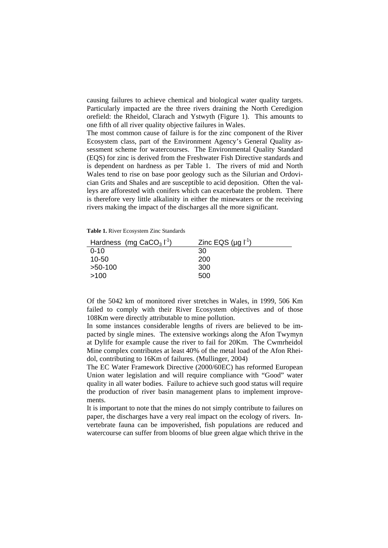causing failures to achieve chemical and biological water quality targets. Particularly impacted are the three rivers draining the North Ceredigion orefield: the Rheidol, Clarach and Ystwyth (Figure 1). This amounts to one fifth of all river quality objective failures in Wales.

The most common cause of failure is for the zinc component of the River Ecosystem class, part of the Environment Agency's General Quality assessment scheme for watercourses. The Environmental Quality Standard (EQS) for zinc is derived from the Freshwater Fish Directive standards and is dependent on hardness as per Table 1. The rivers of mid and North Wales tend to rise on base poor geology such as the Silurian and Ordovician Grits and Shales and are susceptible to acid deposition. Often the valleys are afforested with conifers which can exacerbate the problem. There is therefore very little alkalinity in either the minewaters or the receiving rivers making the impact of the discharges all the more significant.

**Table 1.** River Ecosystem Zinc Standards

| Hardness (mg CaCO <sub>3</sub> $1^1$ ) | Zinc EQS $(\mu q \mid^1)$ |
|----------------------------------------|---------------------------|
| $0 - 10$                               | 30                        |
| 10-50                                  | 200                       |
| $>50-100$                              | 300                       |
| >100                                   | 500                       |

Of the 5042 km of monitored river stretches in Wales, in 1999, 506 Km failed to comply with their River Ecosystem objectives and of those 108Km were directly attributable to mine pollution.

In some instances considerable lengths of rivers are believed to be impacted by single mines. The extensive workings along the Afon Twymyn at Dylife for example cause the river to fail for 20Km. The Cwmrheidol Mine complex contributes at least 40% of the metal load of the Afon Rheidol, contributing to 16Km of failures. (Mullinger, 2004)

The EC Water Framework Directive (2000/60EC) has reformed European Union water legislation and will require compliance with "Good" water quality in all water bodies. Failure to achieve such good status will require the production of river basin management plans to implement improvements.

It is important to note that the mines do not simply contribute to failures on paper, the discharges have a very real impact on the ecology of rivers. Invertebrate fauna can be impoverished, fish populations are reduced and watercourse can suffer from blooms of blue green algae which thrive in the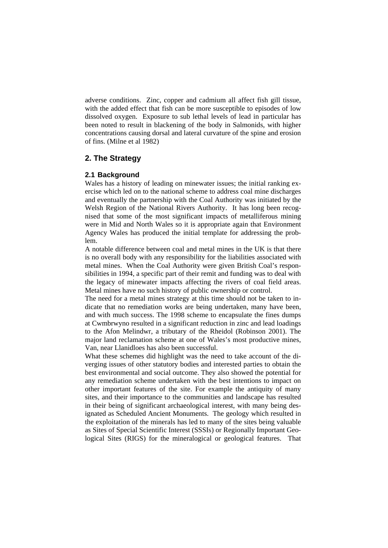adverse conditions. Zinc, copper and cadmium all affect fish gill tissue, with the added effect that fish can be more susceptible to episodes of low dissolved oxygen. Exposure to sub lethal levels of lead in particular has been noted to result in blackening of the body in Salmonids, with higher concentrations causing dorsal and lateral curvature of the spine and erosion of fins. (Milne et al 1982)

## **2. The Strategy**

#### **2.1 Background**

Wales has a history of leading on minewater issues; the initial ranking exercise which led on to the national scheme to address coal mine discharges and eventually the partnership with the Coal Authority was initiated by the Welsh Region of the National Rivers Authority. It has long been recognised that some of the most significant impacts of metalliferous mining were in Mid and North Wales so it is appropriate again that Environment Agency Wales has produced the initial template for addressing the problem.

A notable difference between coal and metal mines in the UK is that there is no overall body with any responsibility for the liabilities associated with metal mines. When the Coal Authority were given British Coal's responsibilities in 1994, a specific part of their remit and funding was to deal with the legacy of minewater impacts affecting the rivers of coal field areas. Metal mines have no such history of public ownership or control.

The need for a metal mines strategy at this time should not be taken to indicate that no remediation works are being undertaken, many have been, and with much success. The 1998 scheme to encapsulate the fines dumps at Cwmbrwyno resulted in a significant reduction in zinc and lead loadings to the Afon Melindwr, a tributary of the Rheidol (Robinson 2001). The major land reclamation scheme at one of Wales's most productive mines, Van, near Llanidloes has also been successful.

What these schemes did highlight was the need to take account of the diverging issues of other statutory bodies and interested parties to obtain the best environmental and social outcome. They also showed the potential for any remediation scheme undertaken with the best intentions to impact on other important features of the site. For example the antiquity of many sites, and their importance to the communities and landscape has resulted in their being of significant archaeological interest, with many being designated as Scheduled Ancient Monuments. The geology which resulted in the exploitation of the minerals has led to many of the sites being valuable as Sites of Special Scientific Interest (SSSIs) or Regionally Important Geological Sites (RIGS) for the mineralogical or geological features. That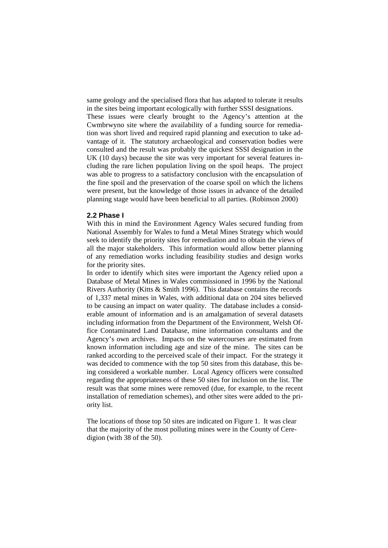same geology and the specialised flora that has adapted to tolerate it results in the sites being important ecologically with further SSSI designations.

These issues were clearly brought to the Agency's attention at the Cwmbrwyno site where the availability of a funding source for remediation was short lived and required rapid planning and execution to take advantage of it. The statutory archaeological and conservation bodies were consulted and the result was probably the quickest SSSI designation in the UK (10 days) because the site was very important for several features including the rare lichen population living on the spoil heaps. The project was able to progress to a satisfactory conclusion with the encapsulation of the fine spoil and the preservation of the coarse spoil on which the lichens were present, but the knowledge of those issues in advance of the detailed planning stage would have been beneficial to all parties. (Robinson 2000)

#### **2.2 Phase I**

With this in mind the Environment Agency Wales secured funding from National Assembly for Wales to fund a Metal Mines Strategy which would seek to identify the priority sites for remediation and to obtain the views of all the major stakeholders. This information would allow better planning of any remediation works including feasibility studies and design works for the priority sites.

In order to identify which sites were important the Agency relied upon a Database of Metal Mines in Wales commissioned in 1996 by the National Rivers Authority (Kitts & Smith 1996). This database contains the records of 1,337 metal mines in Wales, with additional data on 204 sites believed to be causing an impact on water quality. The database includes a considerable amount of information and is an amalgamation of several datasets including information from the Department of the Environment, Welsh Office Contaminated Land Database, mine information consultants and the Agency's own archives. Impacts on the watercourses are estimated from known information including age and size of the mine. The sites can be ranked according to the perceived scale of their impact. For the strategy it was decided to commence with the top 50 sites from this database, this being considered a workable number. Local Agency officers were consulted regarding the appropriateness of these 50 sites for inclusion on the list. The result was that some mines were removed (due, for example, to the recent installation of remediation schemes), and other sites were added to the priority list.

The locations of those top 50 sites are indicated on Figure 1. It was clear that the majority of the most polluting mines were in the County of Ceredigion (with 38 of the 50).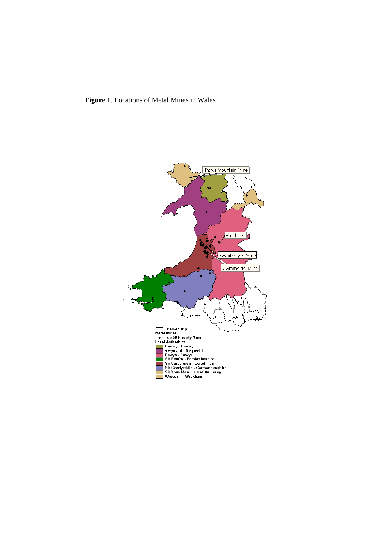

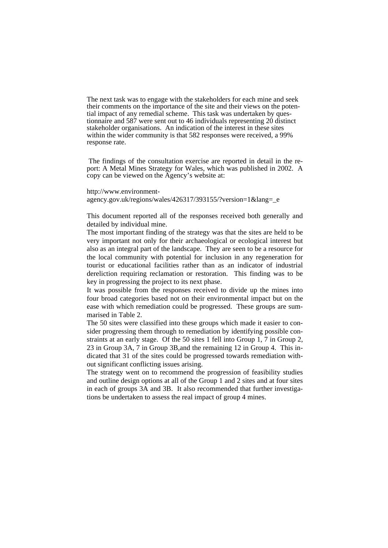The next task was to engage with the stakeholders for each mine and seek their comments on the importance of the site and their views on the potential impact of any remedial scheme. This task was undertaken by questionnaire and 587 were sent out to 46 individuals representing 20 distinct stakeholder organisations. An indication of the interest in these sites within the wider community is that 582 responses were received, a 99% response rate.

 The findings of the consultation exercise are reported in detail in the report: A Metal Mines Strategy for Wales, which was published in 2002. A copy can be viewed on the Agency's website at:

http://www.environmentagency.gov.uk/regions/wales/426317/393155/?version=1&lang=\_e

This document reported all of the responses received both generally and detailed by individual mine.

The most important finding of the strategy was that the sites are held to be very important not only for their archaeological or ecological interest but also as an integral part of the landscape. They are seen to be a resource for the local community with potential for inclusion in any regeneration for tourist or educational facilities rather than as an indicator of industrial dereliction requiring reclamation or restoration. This finding was to be key in progressing the project to its next phase.

It was possible from the responses received to divide up the mines into four broad categories based not on their environmental impact but on the ease with which remediation could be progressed. These groups are summarised in Table 2.

The 50 sites were classified into these groups which made it easier to consider progressing them through to remediation by identifying possible constraints at an early stage. Of the 50 sites 1 fell into Group 1, 7 in Group 2, 23 in Group 3A, 7 in Group 3B,and the remaining 12 in Group 4. This indicated that 31 of the sites could be progressed towards remediation without significant conflicting issues arising.

The strategy went on to recommend the progression of feasibility studies and outline design options at all of the Group 1 and 2 sites and at four sites in each of groups 3A and 3B. It also recommended that further investigations be undertaken to assess the real impact of group 4 mines.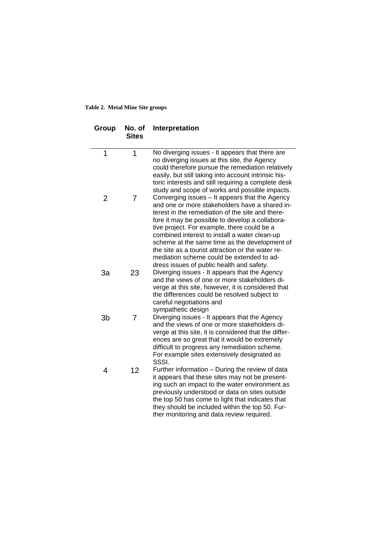#### **Table 2. Metal Mine Site groups**

| Group          | No. of<br><b>Sites</b> | Interpretation                                                                                                                                                                                                                                                                                                                                                                                                                                                                                          |
|----------------|------------------------|---------------------------------------------------------------------------------------------------------------------------------------------------------------------------------------------------------------------------------------------------------------------------------------------------------------------------------------------------------------------------------------------------------------------------------------------------------------------------------------------------------|
| 1              | 1                      | No diverging issues - It appears that there are<br>no diverging issues at this site, the Agency<br>could therefore pursue the remediation relatively<br>easily, but still taking into account intrinsic his-<br>toric interests and still requiring a complete desk<br>study and scope of works and possible impacts.                                                                                                                                                                                   |
| 2              | 7                      | Converging issues - It appears that the Agency<br>and one or more stakeholders have a shared in-<br>terest in the remediation of the site and there-<br>fore it may be possible to develop a collabora-<br>tive project. For example, there could be a<br>combined interest to install a water clean-up<br>scheme at the same time as the development of<br>the site as a tourist attraction or the water re-<br>mediation scheme could be extended to ad-<br>dress issues of public health and safety. |
| 3a             | 23                     | Diverging issues - It appears that the Agency<br>and the views of one or more stakeholders di-<br>verge at this site, however, it is considered that<br>the differences could be resolved subject to<br>careful negotiations and<br>sympathetic design                                                                                                                                                                                                                                                  |
| 3 <sub>b</sub> | 7                      | Diverging issues - It appears that the Agency<br>and the views of one or more stakeholders di-<br>verge at this site, it is considered that the differ-<br>ences are so great that it would be extremely<br>difficult to progress any remediation scheme.<br>For example sites extensively designated as<br>SSSI.                                                                                                                                                                                       |
| 4              | 12                     | Further information - During the review of data<br>it appears that these sites may not be present-<br>ing such an impact to the water environment as<br>previously understood or data on sites outside<br>the top 50 has come to light that indicates that<br>they should be included within the top 50. Fur-<br>ther monitoring and data review required.                                                                                                                                              |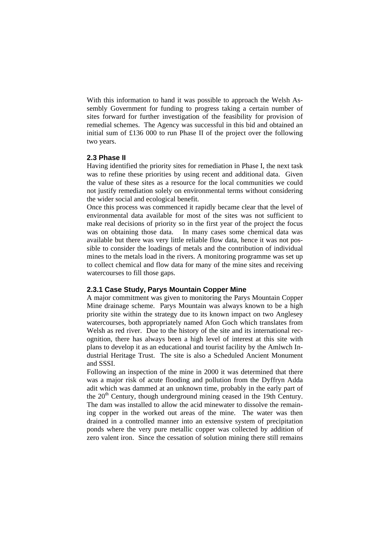With this information to hand it was possible to approach the Welsh Assembly Government for funding to progress taking a certain number of sites forward for further investigation of the feasibility for provision of remedial schemes. The Agency was successful in this bid and obtained an initial sum of £136 000 to run Phase II of the project over the following two years.

### **2.3 Phase II**

Having identified the priority sites for remediation in Phase I, the next task was to refine these priorities by using recent and additional data. Given the value of these sites as a resource for the local communities we could not justify remediation solely on environmental terms without considering the wider social and ecological benefit.

Once this process was commenced it rapidly became clear that the level of environmental data available for most of the sites was not sufficient to make real decisions of priority so in the first year of the project the focus was on obtaining those data. In many cases some chemical data was available but there was very little reliable flow data, hence it was not possible to consider the loadings of metals and the contribution of individual mines to the metals load in the rivers. A monitoring programme was set up to collect chemical and flow data for many of the mine sites and receiving watercourses to fill those gaps.

### **2.3.1 Case Study, Parys Mountain Copper Mine**

A major commitment was given to monitoring the Parys Mountain Copper Mine drainage scheme. Parys Mountain was always known to be a high priority site within the strategy due to its known impact on two Anglesey watercourses, both appropriately named Afon Goch which translates from Welsh as red river. Due to the history of the site and its international recognition, there has always been a high level of interest at this site with plans to develop it as an educational and tourist facility by the Amlwch Industrial Heritage Trust. The site is also a Scheduled Ancient Monument and SSSI.

Following an inspection of the mine in 2000 it was determined that there was a major risk of acute flooding and pollution from the Dyffryn Adda adit which was dammed at an unknown time, probably in the early part of the 20<sup>th</sup> Century, though underground mining ceased in the 19th Century. The dam was installed to allow the acid minewater to dissolve the remaining copper in the worked out areas of the mine. The water was then drained in a controlled manner into an extensive system of precipitation ponds where the very pure metallic copper was collected by addition of zero valent iron. Since the cessation of solution mining there still remains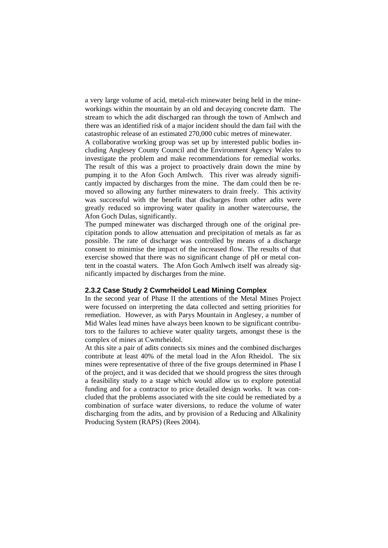a very large volume of acid, metal-rich minewater being held in the mineworkings within the mountain by an old and decaying concrete dam. The stream to which the adit discharged ran through the town of Amlwch and there was an identified risk of a major incident should the dam fail with the catastrophic release of an estimated 270,000 cubic metres of minewater.

A collaborative working group was set up by interested public bodies including Anglesey County Council and the Environment Agency Wales to investigate the problem and make recommendations for remedial works. The result of this was a project to proactively drain down the mine by pumping it to the Afon Goch Amlwch. This river was already significantly impacted by discharges from the mine. The dam could then be removed so allowing any further minewaters to drain freely. This activity was successful with the benefit that discharges from other adits were greatly reduced so improving water quality in another watercourse, the Afon Goch Dulas, significantly.

The pumped minewater was discharged through one of the original precipitation ponds to allow attenuation and precipitation of metals as far as possible. The rate of discharge was controlled by means of a discharge consent to minimise the impact of the increased flow. The results of that exercise showed that there was no significant change of pH or metal content in the coastal waters. The Afon Goch Amlwch itself was already significantly impacted by discharges from the mine.

#### **2.3.2 Case Study 2 Cwmrheidol Lead Mining Complex**

In the second year of Phase II the attentions of the Metal Mines Project were focussed on interpreting the data collected and setting priorities for remediation. However, as with Parys Mountain in Anglesey, a number of Mid Wales lead mines have always been known to be significant contributors to the failures to achieve water quality targets, amongst these is the complex of mines at Cwmrheidol.

At this site a pair of adits connects six mines and the combined discharges contribute at least 40% of the metal load in the Afon Rheidol. The six mines were representative of three of the five groups determined in Phase I of the project, and it was decided that we should progress the sites through a feasibility study to a stage which would allow us to explore potential funding and for a contractor to price detailed design works. It was concluded that the problems associated with the site could be remediated by a combination of surface water diversions, to reduce the volume of water discharging from the adits, and by provision of a Reducing and Alkalinity Producing System (RAPS) (Rees 2004).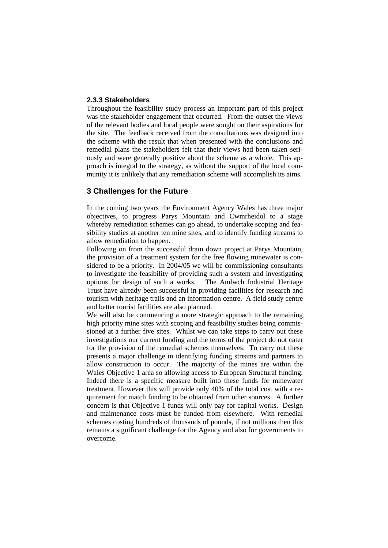#### **2.3.3 Stakeholders**

Throughout the feasibility study process an important part of this project was the stakeholder engagement that occurred. From the outset the views of the relevant bodies and local people were sought on their aspirations for the site. The feedback received from the consultations was designed into the scheme with the result that when presented with the conclusions and remedial plans the stakeholders felt that their views had been taken seriously and were generally positive about the scheme as a whole. This approach is integral to the strategy, as without the support of the local community it is unlikely that any remediation scheme will accomplish its aims.

## **3 Challenges for the Future**

In the coming two years the Environment Agency Wales has three major objectives, to progress Parys Mountain and Cwmrheidol to a stage whereby remediation schemes can go ahead, to undertake scoping and feasibility studies at another ten mine sites, and to identify funding streams to allow remediation to happen.

Following on from the successful drain down project at Parys Mountain, the provision of a treatment system for the free flowing minewater is considered to be a priority. In 2004/05 we will be commissioning consultants to investigate the feasibility of providing such a system and investigating options for design of such a works. The Amlwch Industrial Heritage Trust have already been successful in providing facilities for research and tourism with heritage trails and an information centre. A field study centre and better tourist facilities are also planned.

We will also be commencing a more strategic approach to the remaining high priority mine sites with scoping and feasibility studies being commissioned at a further five sites. Whilst we can take steps to carry out these investigations our current funding and the terms of the project do not cater for the provision of the remedial schemes themselves. To carry out these presents a major challenge in identifying funding streams and partners to allow construction to occur. The majority of the mines are within the Wales Objective 1 area so allowing access to European Structural funding. Indeed there is a specific measure built into these funds for minewater treatment. However this will provide only 40% of the total cost with a requirement for match funding to be obtained from other sources. A further concern is that Objective 1 funds will only pay for capital works. Design and maintenance costs must be funded from elsewhere. With remedial schemes costing hundreds of thousands of pounds, if not millions then this remains a significant challenge for the Agency and also for governments to overcome.